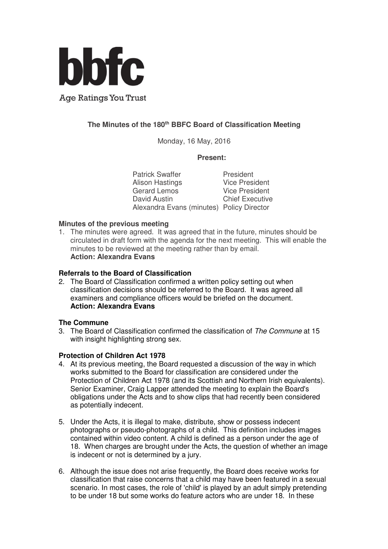

# **The Minutes of the 180th BBFC Board of Classification Meeting**

Monday, 16 May, 2016

## **Present:**

Patrick Swaffer<br>
Alison Hastings

Alison Hastings

Pice President Alison Hastings Gerard Lemos<br>
David Austin<br>
Chief Executive Chief Executive Alexandra Evans (minutes) Policy Director

## **Minutes of the previous meeting**

1. The minutes were agreed. It was agreed that in the future, minutes should be circulated in draft form with the agenda for the next meeting. This will enable the minutes to be reviewed at the meeting rather than by email. **Action: Alexandra Evans** 

#### **Referrals to the Board of Classification**

2. The Board of Classification confirmed a written policy setting out when classification decisions should be referred to the Board. It was agreed all examiners and compliance officers would be briefed on the document. **Action: Alexandra Evans** 

#### **The Commune**

3. The Board of Classification confirmed the classification of The Commune at 15 with insight highlighting strong sex.

## **Protection of Children Act 1978**

- 4. At its previous meeting, the Board requested a discussion of the way in which works submitted to the Board for classification are considered under the Protection of Children Act 1978 (and its Scottish and Northern Irish equivalents). Senior Examiner, Craig Lapper attended the meeting to explain the Board's obligations under the Acts and to show clips that had recently been considered as potentially indecent.
- 5. Under the Acts, it is illegal to make, distribute, show or possess indecent photographs or pseudo-photographs of a child. This definition includes images contained within video content. A child is defined as a person under the age of 18. When charges are brought under the Acts, the question of whether an image is indecent or not is determined by a jury.
- 6. Although the issue does not arise frequently, the Board does receive works for classification that raise concerns that a child may have been featured in a sexual scenario. In most cases, the role of 'child' is played by an adult simply pretending to be under 18 but some works do feature actors who are under 18. In these